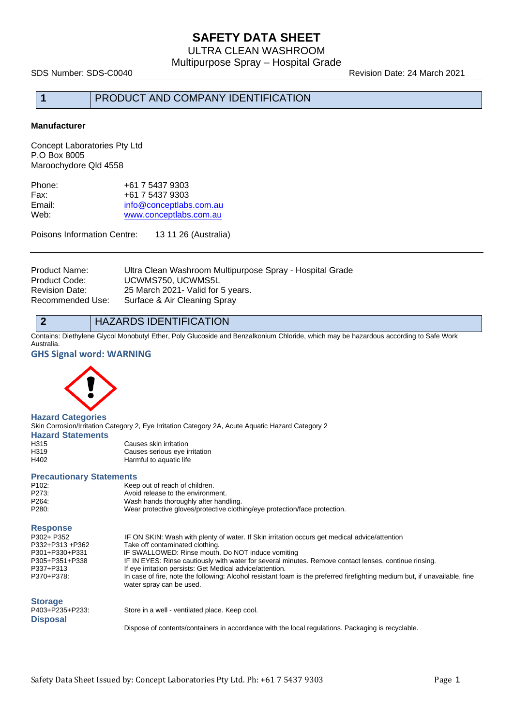ULTRA CLEAN WASHROOM Multipurpose Spray – Hospital Grade

SDS Number: SDS-C0040 Revision Date: 24 March 2021

## **1** PRODUCT AND COMPANY IDENTIFICATION

#### **Manufacturer**

Concept Laboratories Pty Ltd P.O Box 8005 Maroochydore Qld 4558

| +61 7 5437 9303         |
|-------------------------|
| +61 7 5437 9303         |
| info@conceptlabs.com.au |
| www.conceptlabs.com.au  |
|                         |

Poisons Information Centre: 13 11 26 (Australia)

| Product Name:    | Ultra Clean Washroom Multipurpose Spray - Hospital Grade |
|------------------|----------------------------------------------------------|
| Product Code:    | UCWMS750, UCWMS5L                                        |
| Revision Date:   | 25 March 2021 - Valid for 5 years.                       |
| Recommended Use: | Surface & Air Cleaning Spray                             |

#### **2** HAZARDS IDENTIFICATION

Contains: Diethylene Glycol Monobutyl Ether, Poly Glucoside and Benzalkonium Chloride, which may be hazardous according to Safe Work Australia.

#### **GHS Signal word: WARNING**



**Hazard Categories** Skin Corrosion/Irritation Category 2, Eye Irritation Category 2A, Acute Aquatic Hazard Category 2 **Hazard Statements**

| H315 | Causes skin irritation        |
|------|-------------------------------|
| H319 | Causes serious eye irritation |
| H402 | Harmful to aquatic life       |

#### **Precautionary Statements**

| P102: | Keep out of reach of children.                                             |
|-------|----------------------------------------------------------------------------|
| P273: | Avoid release to the environment.                                          |
| P264: | Wash hands thoroughly after handling.                                      |
| P280: | Wear protective gloves/protective clothing/eye protection/face protection. |
|       |                                                                            |

#### **Response**

| P302+ P352      | IF ON SKIN: Wash with plenty of water. If Skin irritation occurs get medical advice/attention                                                          |
|-----------------|--------------------------------------------------------------------------------------------------------------------------------------------------------|
| P332+P313 +P362 | Take off contaminated clothing.                                                                                                                        |
| P301+P330+P331  | IF SWALLOWED: Rinse mouth. Do NOT induce vomiting                                                                                                      |
| P305+P351+P338  | IF IN EYES: Rinse cautiously with water for several minutes. Remove contact lenses, continue rinsing.                                                  |
| P337+P313       | If eye irritation persists: Get Medical advice/attention.                                                                                              |
| P370+P378:      | In case of fire, note the following: Alcohol resistant foam is the preferred firefighting medium but, if unavailable, fine<br>water spray can be used. |
| <b>Storage</b>  |                                                                                                                                                        |
| P403+P235+P233: | Store in a well - ventilated place. Keep cool.                                                                                                         |

**Disposal**

Dispose of contents/containers in accordance with the local regulations. Packaging is recyclable.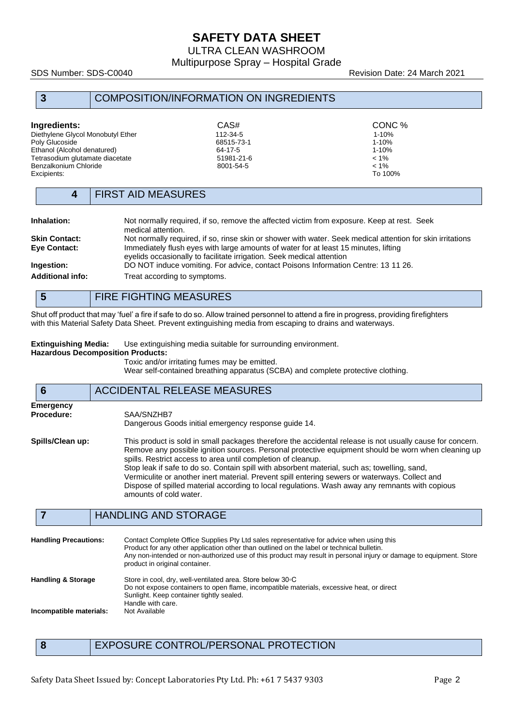ULTRA CLEAN WASHROOM

Multipurpose Spray – Hospital Grade

SDS Number: SDS-C0040 Revision Date: 24 March 2021

### **3** COMPOSITION/INFORMATION ON INGREDIENTS

| Ingredients:                      | CAS#       | CONC %    |
|-----------------------------------|------------|-----------|
| Diethylene Glycol Monobutyl Ether | 112-34-5   | $1 - 10%$ |
| Poly Glucoside                    | 68515-73-1 | $1 - 10%$ |
| Ethanol (Alcohol denatured)       | 64-17-5    | $1 - 10%$ |
| Tetrasodium glutamate diacetate   | 51981-21-6 | $< 1\%$   |
| Benzalkonium Chloride             | 8001-54-5  | $< 1\%$   |
| Excipients:                       |            | To 100%   |

### **4** FIRST AID MEASURES

| Inhalation:             | Not normally required, if so, remove the affected victim from exposure. Keep at rest. Seek<br>medical attention.                                             |
|-------------------------|--------------------------------------------------------------------------------------------------------------------------------------------------------------|
| <b>Skin Contact:</b>    | Not normally required, if so, rinse skin or shower with water. Seek medical attention for skin irritations                                                   |
| Eye Contact:            | Immediately flush eyes with large amounts of water for at least 15 minutes, lifting<br>eyelids occasionally to facilitate irrigation. Seek medical attention |
| Ingestion:              | DO NOT induce vomiting. For advice, contact Poisons Information Centre: 13 11 26.                                                                            |
| <b>Additional info:</b> | Treat according to symptoms.                                                                                                                                 |

## **5** FIRE FIGHTING MEASURES

Shut off product that may 'fuel' a fire if safe to do so. Allow trained personnel to attend a fire in progress, providing firefighters with this Material Safety Data Sheet. Prevent extinguishing media from escaping to drains and waterways.

**Extinguishing Media:** Use extinguishing media suitable for surrounding environment. **Hazardous Decomposition Products:**

Toxic and/or irritating fumes may be emitted.

Wear self-contained breathing apparatus (SCBA) and complete protective clothing.

### **6** ACCIDENTAL RELEASE MEASURES **Emergency Procedure:** SAA/SNZHB7 Dangerous Goods initial emergency response guide 14. **Spills/Clean up:** This product is sold in small packages therefore the accidental release is not usually cause for concern. Remove any possible ignition sources. Personal protective equipment should be worn when cleaning up spills. Restrict access to area until completion of cleanup. Stop leak if safe to do so. Contain spill with absorbent material, such as; towelling, sand, Vermiculite or another inert material. Prevent spill entering sewers or waterways. Collect and Dispose of spilled material according to local regulations. Wash away any remnants with copious amounts of cold water.

### **7** HANDLING AND STORAGE

| <b>Handling Precautions:</b>  | Contact Complete Office Supplies Pty Ltd sales representative for advice when using this<br>Product for any other application other than outlined on the label or technical bulletin.<br>Any non-intended or non-authorized use of this product may result in personal injury or damage to equipment. Store<br>product in original container. |
|-------------------------------|-----------------------------------------------------------------------------------------------------------------------------------------------------------------------------------------------------------------------------------------------------------------------------------------------------------------------------------------------|
| <b>Handling &amp; Storage</b> | Store in cool, dry, well-ventilated area. Store below 30 °C<br>Do not expose containers to open flame, incompatible materials, excessive heat, or direct<br>Sunlight. Keep container tightly sealed.                                                                                                                                          |
| Incompatible materials:       | Handle with care.<br>Not Available                                                                                                                                                                                                                                                                                                            |

**8** EXPOSURE CONTROL/PERSONAL PROTECTION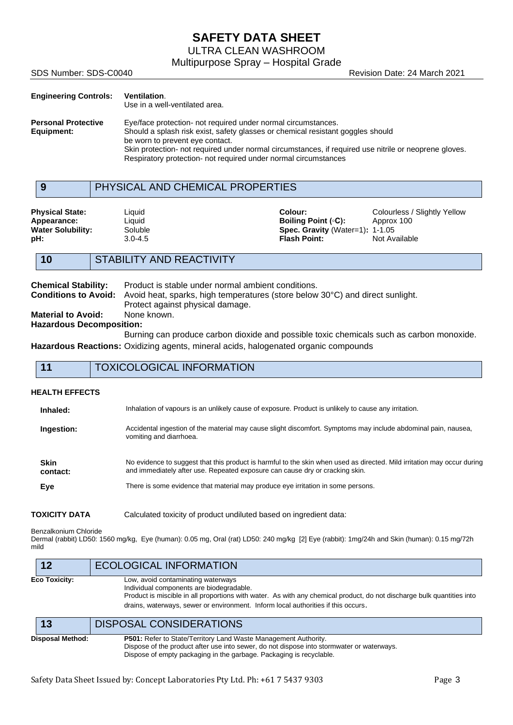ULTRA CLEAN WASHROOM

Multipurpose Spray – Hospital Grade

SDS Number: SDS-C0040 Revision Date: 24 March 2021

| <b>Engineering Controls:</b>             | Ventilation.<br>Use in a well-ventilated area.                                                                                                                                                                                                                                                                                                                  |
|------------------------------------------|-----------------------------------------------------------------------------------------------------------------------------------------------------------------------------------------------------------------------------------------------------------------------------------------------------------------------------------------------------------------|
| <b>Personal Protective</b><br>Equipment: | Eye/face protection- not required under normal circumstances.<br>Should a splash risk exist, safety glasses or chemical resistant goggles should<br>be worn to prevent eye contact.<br>Skin protection- not required under normal circumstances, if required use nitrile or neoprene gloves.<br>Respiratory protection- not required under normal circumstances |

## **9** PHYSICAL AND CHEMICAL PROPERTIES

**Physical State:** Liquid **Colour:** Colourless / Slightly Yellow **Appearance:** Liquid Liquid **Boiling Point** (◦C): Approx 100 **Water Solubility:** Soluble **Boiling Point** (◦C): Approx 100 **Water Solubility:** Soluble **Spec. Gravity** (Water=1): **pH: Phenomic Spec. Gravity** (Water=1): **1-1.05 1-1.05 1-1.05 1-1.05 1-1.05 1-1.05 1-1.05 1-1.05 1-1.05 1-1.05 1-1.05 1-1.05 1-1.05 1-1.05 Not Available** 

## **10** STABILITY AND REACTIVITY

| <b>Chemical Stability:</b>      | Product is stable under normal ambient conditions.                                                        |
|---------------------------------|-----------------------------------------------------------------------------------------------------------|
|                                 | <b>Conditions to Avoid:</b> Avoid heat, sparks, high temperatures (store below 30°C) and direct sunlight. |
|                                 | Protect against physical damage.                                                                          |
| <b>Material to Avoid:</b>       | None known.                                                                                               |
| <b>Hazardous Decomposition:</b> |                                                                                                           |
|                                 | Burning can produce carbon dioxide and possible toxic chemicals such as carbon monoxide.                  |
|                                 |                                                                                                           |

**Hazardous Reactions:** Oxidizing agents, mineral acids, halogenated organic compounds

| 11                                                                                                                                                                                                                                 | <b>TOXICOLOGICAL INFORMATION</b>                                                                                                          |  |  |
|------------------------------------------------------------------------------------------------------------------------------------------------------------------------------------------------------------------------------------|-------------------------------------------------------------------------------------------------------------------------------------------|--|--|
| <b>HEALTH EFFECTS</b>                                                                                                                                                                                                              |                                                                                                                                           |  |  |
| Inhaled:                                                                                                                                                                                                                           | Inhalation of vapours is an unlikely cause of exposure. Product is unlikely to cause any irritation.                                      |  |  |
| Ingestion:                                                                                                                                                                                                                         | Accidental ingestion of the material may cause slight discomfort. Symptoms may include abdominal pain, nausea,<br>vomiting and diarrhoea. |  |  |
| <b>Skin</b><br>No evidence to suggest that this product is harmful to the skin when used as directed. Mild irritation may occur during<br>and immediately after use. Repeated exposure can cause dry or cracking skin.<br>contact: |                                                                                                                                           |  |  |
| Eye                                                                                                                                                                                                                                | There is some evidence that material may produce eye irritation in some persons.                                                          |  |  |

**TOXICITY DATA** Calculated toxicity of product undiluted based on ingredient data:

Benzalkonium Chloride

Dermal (rabbit) LD50: 1560 mg/kg, Eye (human): 0.05 mg, Oral (rat) LD50: 240 mg/kg [2] Eye (rabbit): 1mg/24h and Skin (human): 0.15 mg/72h mild

| 12               | <b>ECOLOGICAL INFORMATION</b>                                                                                                                                                                                                                                                                 |
|------------------|-----------------------------------------------------------------------------------------------------------------------------------------------------------------------------------------------------------------------------------------------------------------------------------------------|
| Eco Toxicity:    | Low, avoid contaminating waterways<br>Individual components are biodegradable.<br>Product is miscible in all proportions with water. As with any chemical product, do not discharge bulk quantities into<br>drains, waterways, sewer or environment. Inform local authorities if this occurs. |
| 13               | DISPOSAL CONSIDERATIONS                                                                                                                                                                                                                                                                       |
| Disposal Method: | <b>P501:</b> Refer to State/Territory Land Waste Management Authority.<br>Dispose of the product after use into sewer, do not dispose into stormwater or waterways.                                                                                                                           |

Dispose of empty packaging in the garbage. Packaging is recyclable.